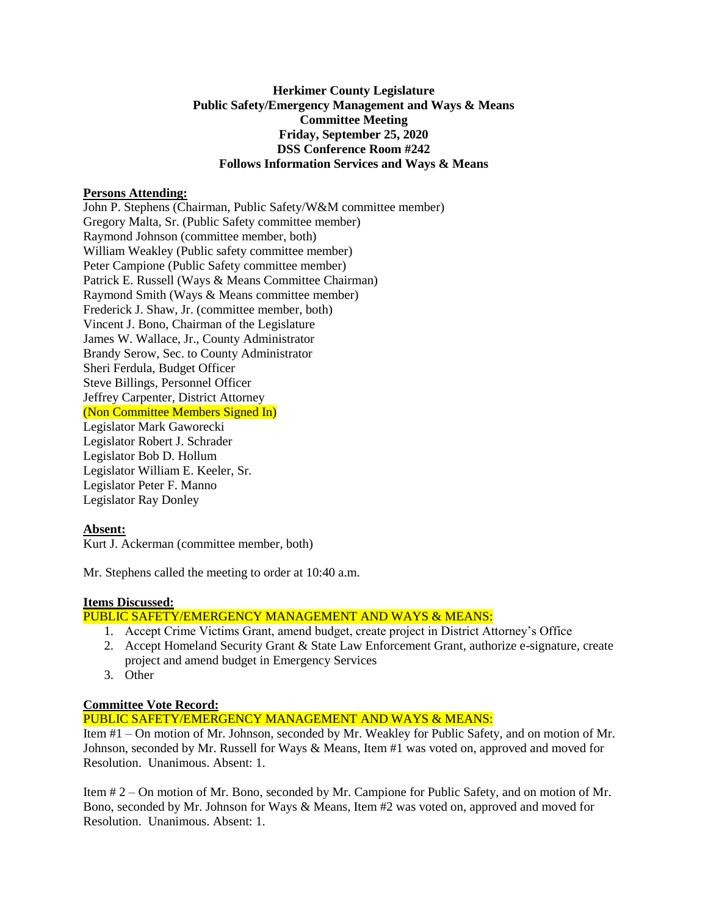# **Herkimer County Legislature Public Safety/Emergency Management and Ways & Means Committee Meeting Friday, September 25, 2020 DSS Conference Room #242 Follows Information Services and Ways & Means**

## **Persons Attending:**

John P. Stephens (Chairman, Public Safety/W&M committee member) Gregory Malta, Sr. (Public Safety committee member) Raymond Johnson (committee member, both) William Weakley (Public safety committee member) Peter Campione (Public Safety committee member) Patrick E. Russell (Ways & Means Committee Chairman) Raymond Smith (Ways & Means committee member) Frederick J. Shaw, Jr. (committee member, both) Vincent J. Bono, Chairman of the Legislature James W. Wallace, Jr., County Administrator Brandy Serow, Sec. to County Administrator Sheri Ferdula, Budget Officer Steve Billings, Personnel Officer Jeffrey Carpenter, District Attorney (Non Committee Members Signed In) Legislator Mark Gaworecki Legislator Robert J. Schrader Legislator Bob D. Hollum Legislator William E. Keeler, Sr. Legislator Peter F. Manno Legislator Ray Donley

# **Absent:**

Kurt J. Ackerman (committee member, both)

Mr. Stephens called the meeting to order at 10:40 a.m.

#### **Items Discussed:**

## PUBLIC SAFETY/EMERGENCY MANAGEMENT AND WAYS & MEANS:

- 1. Accept Crime Victims Grant, amend budget, create project in District Attorney's Office
- 2. Accept Homeland Security Grant & State Law Enforcement Grant, authorize e-signature, create project and amend budget in Emergency Services
- 3. Other

## **Committee Vote Record:**

# PUBLIC SAFETY/EMERGENCY MANAGEMENT AND WAYS & MEANS:

Item #1 – On motion of Mr. Johnson, seconded by Mr. Weakley for Public Safety, and on motion of Mr. Johnson, seconded by Mr. Russell for Ways & Means, Item #1 was voted on, approved and moved for Resolution. Unanimous. Absent: 1.

Item # 2 – On motion of Mr. Bono, seconded by Mr. Campione for Public Safety, and on motion of Mr. Bono, seconded by Mr. Johnson for Ways & Means, Item #2 was voted on, approved and moved for Resolution. Unanimous. Absent: 1.